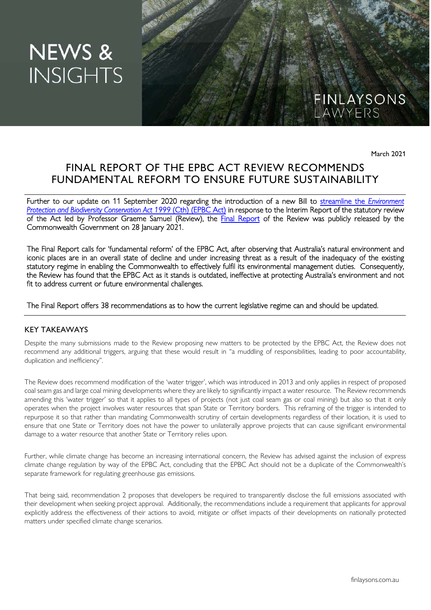# **NEWS & INSIGHTS**

March 2021

FINLAYSONS<br>LAWYERS

# FINAL REPORT OF THE EPBC ACT REVIEW RECOMMENDS FUNDAMENTAL REFORM TO ENSURE FUTURE SUSTAINABILITY

Further to our update on 11 September 2020 regarding the introduction of a new Bill to streamline the *Environment Protection and Biodiversity Conservation Act 1999* (Cth) (EPBC Act) in response to the Interim Report of the statutory review of the Act led by Professor Graeme Samuel (Review), the Final Report of the Review was publicly released by the Commonwealth Government on 28 January 2021.

The Final Report calls for 'fundamental reform' of the EPBC Act, after observing that Australia's natural environment and iconic places are in an overall state of decline and under increasing threat as a result of the inadequacy of the existing statutory regime in enabling the Commonwealth to effectively fulfil its environmental management duties. Consequently, the Review has found that the EPBC Act as it stands is outdated, ineffective at protecting Australia's environment and not fit to address current or future environmental challenges.

# The Final Report offers 38 recommendations as to how the current legislative regime can and should be updated.

### KEY TAKEAWAYS

Despite the many submissions made to the Review proposing new matters to be protected by the EPBC Act, the Review does not recommend any additional triggers, arguing that these would result in "a muddling of responsibilities, leading to poor accountability, duplication and inefficiency".

The Review does recommend modification of the 'water trigger', which was introduced in 2013 and only applies in respect of proposed coal seam gas and large coal mining developments where they are likely to significantly impact a water resource. The Review recommends amending this 'water trigger' so that it applies to all types of projects (not just coal seam gas or coal mining) but also so that it only operates when the project involves water resources that span State or Territory borders. This reframing of the trigger is intended to repurpose it so that rather than mandating Commonwealth scrutiny of certain developments regardless of their location, it is used to ensure that one State or Territory does not have the power to unilaterally approve projects that can cause significant environmental damage to a water resource that another State or Territory relies upon.

Further, while climate change has become an increasing international concern, the Review has advised against the inclusion of express climate change regulation by way of the EPBC Act, concluding that the EPBC Act should not be a duplicate of the Commonwealth's separate framework for regulating greenhouse gas emissions.

That being said, recommendation 2 proposes that developers be required to transparently disclose the full emissions associated with their development when seeking project approval. Additionally, the recommendations include a requirement that applicants for approval explicitly address the effectiveness of their actions to avoid, mitigate or offset impacts of their developments on nationally protected matters under specified climate change scenarios.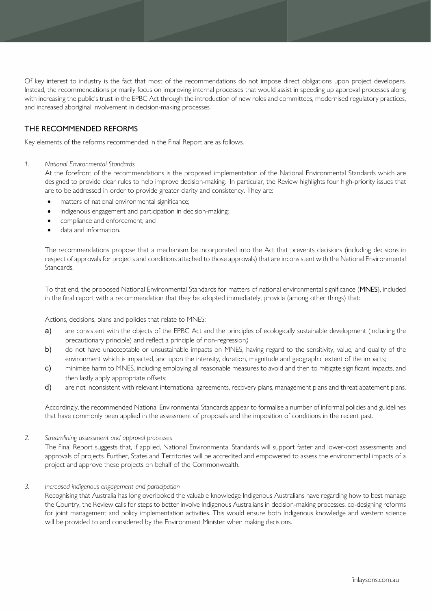Of key interest to industry is the fact that most of the recommendations do not impose direct obligations upon project developers. Instead, the recommendations primarily focus on improving internal processes that would assist in speeding up approval processes along with increasing the public's trust in the EPBC Act through the introduction of new roles and committees, modernised regulatory practices, and increased aboriginal involvement in decision-making processes.

# THE RECOMMENDED REFORMS

Key elements of the reforms recommended in the Final Report are as follows.

#### *1. National Environmental Standards*

At the forefront of the recommendations is the proposed implementation of the National Environmental Standards which are designed to provide clear rules to help improve decision-making. In particular, the Review highlights four high-priority issues that are to be addressed in order to provide greater clarity and consistency. They are:

- matters of national environmental significance;
- indigenous engagement and participation in decision-making;
- compliance and enforcement; and
- data and information.

The recommendations propose that a mechanism be incorporated into the Act that prevents decisions (including decisions in respect of approvals for projects and conditions attached to those approvals) that are inconsistent with the National Environmental Standards.

To that end, the proposed National Environmental Standards for matters of national environmental significance (MNES), included in the final report with a recommendation that they be adopted immediately, provide (among other things) that:

Actions, decisions, plans and policies that relate to MNES:

- a) are consistent with the objects of the EPBC Act and the principles of ecologically sustainable development (including the precautionary principle) and reflect a principle of non-regression;
- b) do not have unacceptable or unsustainable impacts on MNES, having regard to the sensitivity, value, and quality of the environment which is impacted, and upon the intensity, duration, magnitude and geographic extent of the impacts;
- c) minimise harm to MNES, including employing all reasonable measures to avoid and then to mitigate significant impacts, and then lastly apply appropriate offsets;
- d) are not inconsistent with relevant international agreements, recovery plans, management plans and threat abatement plans.

Accordingly, the recommended National Environmental Standards appear to formalise a number of informal policies and guidelines that have commonly been applied in the assessment of proposals and the imposition of conditions in the recent past.

#### *2. Streamlining assessment and approval processes*

The Final Report suggests that, if applied, National Environmental Standards will support faster and lower-cost assessments and approvals of projects. Further, States and Territories will be accredited and empowered to assess the environmental impacts of a project and approve these projects on behalf of the Commonwealth.

#### *3. Increased indigenous engagement and participation*

Recognising that Australia has long overlooked the valuable knowledge Indigenous Australians have regarding how to best manage the Country, the Review calls for steps to better involve Indigenous Australians in decision-making processes, co-designing reforms for joint management and policy implementation activities. This would ensure both Indigenous knowledge and western science will be provided to and considered by the Environment Minister when making decisions.